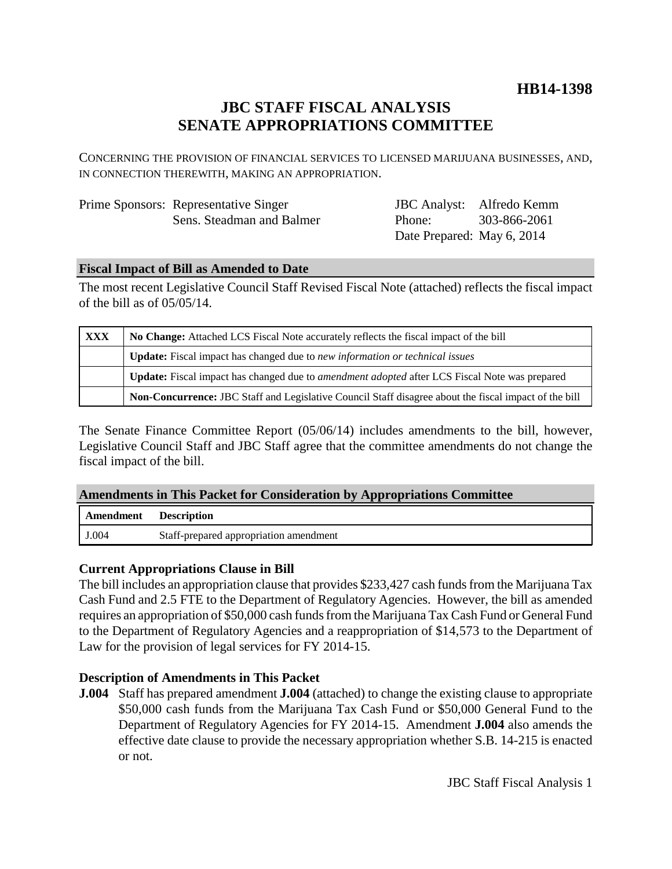# **HB14-1398**

# **JBC STAFF FISCAL ANALYSIS SENATE APPROPRIATIONS COMMITTEE**

CONCERNING THE PROVISION OF FINANCIAL SERVICES TO LICENSED MARIJUANA BUSINESSES, AND, IN CONNECTION THEREWITH, MAKING AN APPROPRIATION.

| Prime Sponsors: Representative Singer |
|---------------------------------------|
| Sens. Steadman and Balmer             |

JBC Analyst: Alfredo Kemm Phone: Date Prepared: May 6, 2014 303-866-2061

### **Fiscal Impact of Bill as Amended to Date**

The most recent Legislative Council Staff Revised Fiscal Note (attached) reflects the fiscal impact of the bill as of 05/05/14.

| <b>XXX</b> | No Change: Attached LCS Fiscal Note accurately reflects the fiscal impact of the bill                       |  |
|------------|-------------------------------------------------------------------------------------------------------------|--|
|            | <b>Update:</b> Fiscal impact has changed due to new information or technical issues                         |  |
|            | <b>Update:</b> Fiscal impact has changed due to <i>amendment adopted</i> after LCS Fiscal Note was prepared |  |
|            | Non-Concurrence: JBC Staff and Legislative Council Staff disagree about the fiscal impact of the bill       |  |

The Senate Finance Committee Report (05/06/14) includes amendments to the bill, however, Legislative Council Staff and JBC Staff agree that the committee amendments do not change the fiscal impact of the bill.

### **Amendments in This Packet for Consideration by Appropriations Committee**

| Amendment | <b>Description</b>                     |
|-----------|----------------------------------------|
| J.004     | Staff-prepared appropriation amendment |

### **Current Appropriations Clause in Bill**

The bill includes an appropriation clause that provides \$233,427 cash funds from the Marijuana Tax Cash Fund and 2.5 FTE to the Department of Regulatory Agencies. However, the bill as amended requires an appropriation of \$50,000 cash funds from the Marijuana Tax Cash Fund or General Fund to the Department of Regulatory Agencies and a reappropriation of \$14,573 to the Department of Law for the provision of legal services for FY 2014-15.

## **Description of Amendments in This Packet**

**J.004** Staff has prepared amendment **J.004** (attached) to change the existing clause to appropriate \$50,000 cash funds from the Marijuana Tax Cash Fund or \$50,000 General Fund to the Department of Regulatory Agencies for FY 2014-15. Amendment **J.004** also amends the effective date clause to provide the necessary appropriation whether S.B. 14-215 is enacted or not.